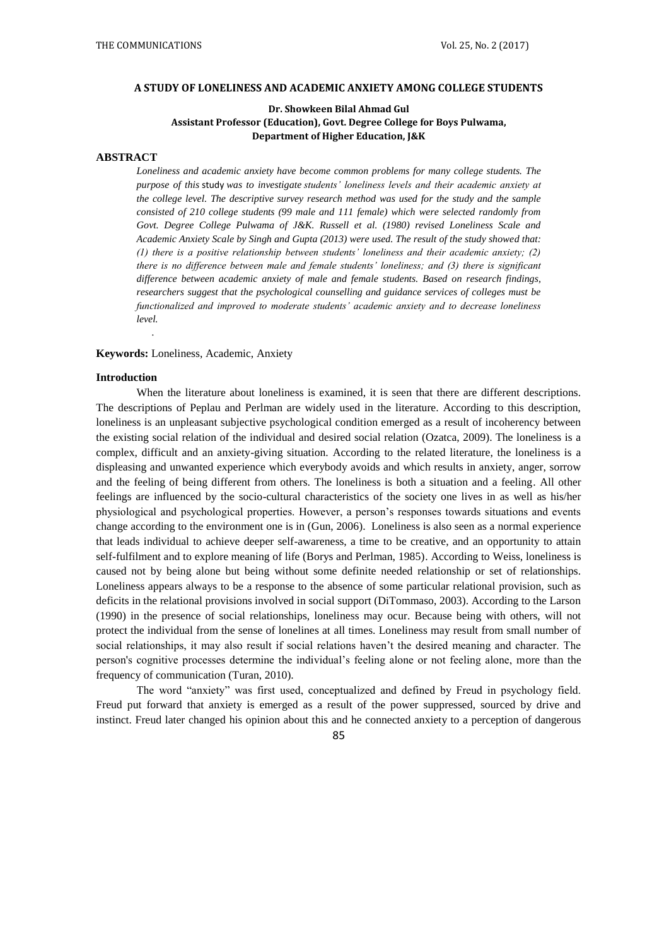#### **A STUDY OF LONELINESS AND ACADEMIC ANXIETY AMONG COLLEGE STUDENTS**

# **Dr. Showkeen Bilal Ahmad Gul Assistant Professor (Education), Govt. Degree College for Boys Pulwama, Department of Higher Education, J&K**

### **ABSTRACT**

*Loneliness and academic anxiety have become common problems for many college students. The purpose of this* study *was to investigate students' loneliness levels and their academic anxiety at the college level. The descriptive survey research method was used for the study and the sample consisted of 210 college students (99 male and 111 female) which were selected randomly from Govt. Degree College Pulwama of J&K. Russell et al. (1980) revised Loneliness Scale and Academic Anxiety Scale by Singh and Gupta (2013) were used. The result of the study showed that: (1) there is a positive relationship between students' loneliness and their academic anxiety; (2) there is no difference between male and female students' loneliness; and (3) there is significant difference between academic anxiety of male and female students. Based on research findings, researchers suggest that the psychological counselling and guidance services of colleges must be functionalized and improved to moderate students' academic anxiety and to decrease loneliness level.*

# **Keywords:** Loneliness, Academic, Anxiety

### **Introduction**

*.*

When the literature about loneliness is examined, it is seen that there are different descriptions. The descriptions of Peplau and Perlman are widely used in the literature. According to this description, loneliness is an unpleasant subjective psychological condition emerged as a result of incoherency between the existing social relation of the individual and desired social relation (Ozatca, 2009). The loneliness is a complex, difficult and an anxiety-giving situation. According to the related literature, the loneliness is a displeasing and unwanted experience which everybody avoids and which results in anxiety, anger, sorrow and the feeling of being different from others. The loneliness is both a situation and a feeling. All other feelings are influenced by the socio-cultural characteristics of the society one lives in as well as his/her physiological and psychological properties. However, a person's responses towards situations and events change according to the environment one is in (Gun, 2006). Loneliness is also seen as a normal experience that leads individual to achieve deeper self-awareness, a time to be creative, and an opportunity to attain self-fulfilment and to explore meaning of life (Borys and Perlman, 1985). According to Weiss, loneliness is caused not by being alone but being without some definite needed relationship or set of relationships. Loneliness appears always to be a response to the absence of some particular relational provision, such as deficits in the relational provisions involved in social support (DiTommaso, 2003). According to the Larson (1990) in the presence of social relationships, loneliness may ocur. Because being with others, will not protect the individual from the sense of lonelines at all times. Loneliness may result from small number of social relationships, it may also result if social relations haven't the desired meaning and character. The person's cognitive processes determine the individual's feeling alone or not feeling alone, more than the frequency of communication (Turan, 2010).

The word "anxiety" was first used, conceptualized and defined by Freud in psychology field. Freud put forward that anxiety is emerged as a result of the power suppressed, sourced by drive and instinct. Freud later changed his opinion about this and he connected anxiety to a perception of dangerous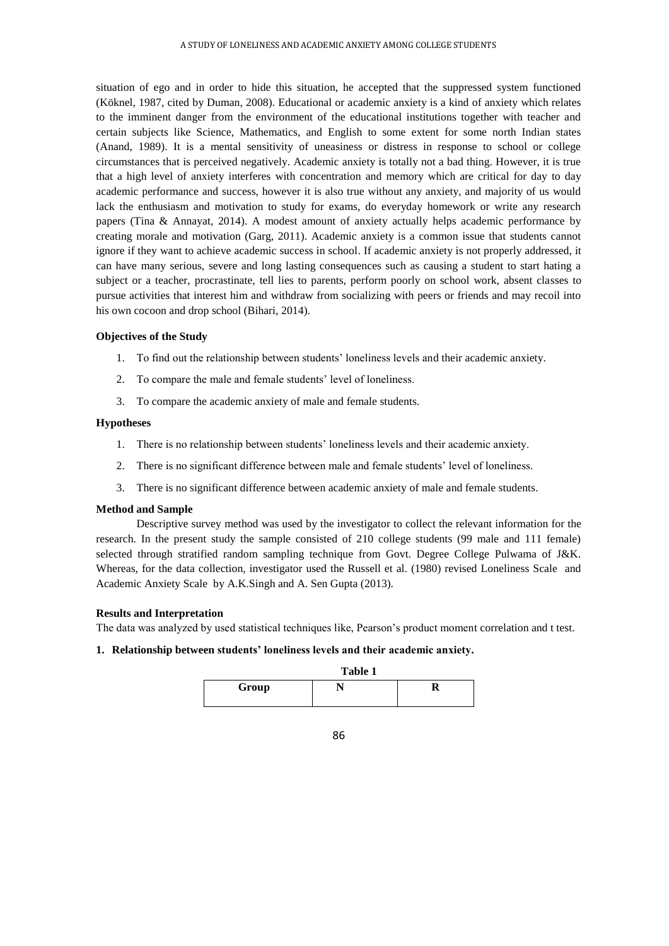situation of ego and in order to hide this situation, he accepted that the suppressed system functioned (Köknel, 1987, cited by Duman, 2008). Educational or academic anxiety is a kind of anxiety which relates to the imminent danger from the environment of the educational institutions together with teacher and certain subjects like Science, Mathematics, and English to some extent for some north Indian states (Anand, 1989). It is a mental sensitivity of uneasiness or distress in response to school or college circumstances that is perceived negatively. Academic anxiety is totally not a bad thing. However, it is true that a high level of anxiety interferes with concentration and memory which are critical for day to day academic performance and success, however it is also true without any anxiety, and majority of us would lack the enthusiasm and motivation to study for exams, do everyday homework or write any research papers (Tina & Annayat, 2014). A modest amount of anxiety actually helps academic performance by creating morale and motivation (Garg, 2011). Academic anxiety is a common issue that students cannot ignore if they want to achieve academic success in school. If academic anxiety is not properly addressed, it can have many serious, severe and long lasting consequences such as causing a student to start hating a subject or a teacher, procrastinate, tell lies to parents, perform poorly on school work, absent classes to pursue activities that interest him and withdraw from socializing with peers or friends and may recoil into his own cocoon and drop school (Bihari, 2014).

## **Objectives of the Study**

- 1. To find out the relationship between students' loneliness levels and their academic anxiety.
- 2. To compare the male and female students' level of loneliness.
- 3. To compare the academic anxiety of male and female students.

### **Hypotheses**

- 1. There is no relationship between students' loneliness levels and their academic anxiety.
- 2. There is no significant difference between male and female students' level of loneliness.
- 3. There is no significant difference between academic anxiety of male and female students.

## **Method and Sample**

Descriptive survey method was used by the investigator to collect the relevant information for the research. In the present study the sample consisted of 210 college students (99 male and 111 female) selected through stratified random sampling technique from Govt. Degree College Pulwama of J&K. Whereas, for the data collection, investigator used the Russell et al. (1980) revised Loneliness Scale and Academic Anxiety Scale by A.K.Singh and A. Sen Gupta (2013).

#### **Results and Interpretation**

The data was analyzed by used statistical techniques like, Pearson's product moment correlation and t test.

# **1. Relationship between students' loneliness levels and their academic anxiety.**

|       | Table 1 |  |  |
|-------|---------|--|--|
| Group |         |  |  |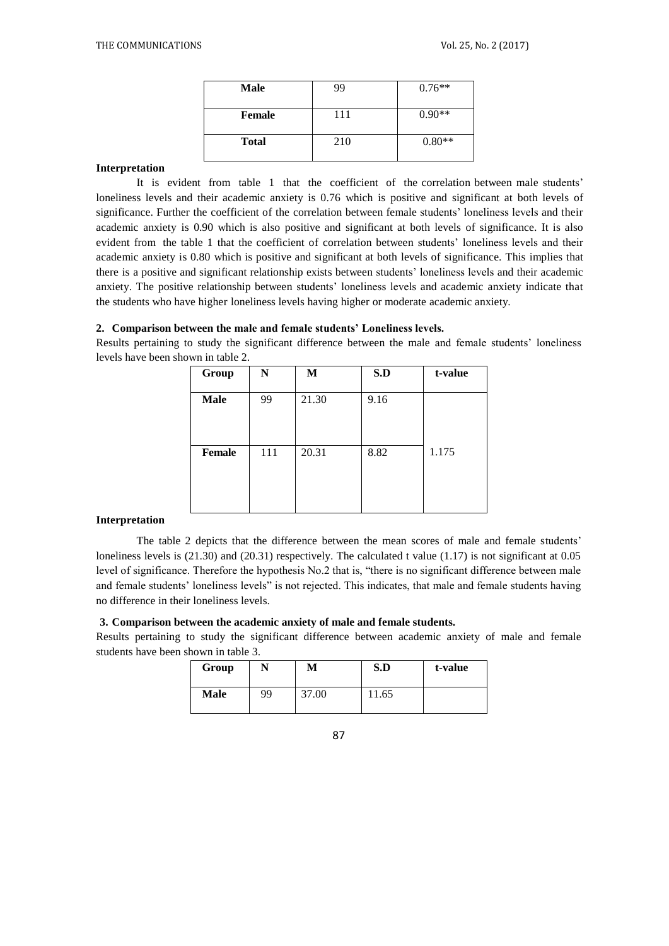| <b>Male</b>   | 99  | $0.76**$ |
|---------------|-----|----------|
| <b>Female</b> | 111 | $0.90**$ |
| <b>Total</b>  | 210 | $0.80**$ |

# **Interpretation**

It is evident from table 1 that the coefficient of the correlation between male students' loneliness levels and their academic anxiety is 0.76 which is positive and significant at both levels of significance. Further the coefficient of the correlation between female students' loneliness levels and their academic anxiety is 0.90 which is also positive and significant at both levels of significance. It is also evident from the table 1 that the coefficient of correlation between students' loneliness levels and their academic anxiety is 0.80 which is positive and significant at both levels of significance. This implies that there is a positive and significant relationship exists between students' loneliness levels and their academic anxiety. The positive relationship between students' loneliness levels and academic anxiety indicate that the students who have higher loneliness levels having higher or moderate academic anxiety.

## **2. Comparison between the male and female students' Loneliness levels.**

Results pertaining to study the significant difference between the male and female students' loneliness levels have been shown in table 2.

| Group         | N   | М     | S.D  | t-value |
|---------------|-----|-------|------|---------|
| <b>Male</b>   | 99  | 21.30 | 9.16 |         |
| <b>Female</b> | 111 | 20.31 | 8.82 | 1.175   |

# **Interpretation**

The table 2 depicts that the difference between the mean scores of male and female students' loneliness levels is  $(21.30)$  and  $(20.31)$  respectively. The calculated t value  $(1.17)$  is not significant at 0.05 level of significance. Therefore the hypothesis No.2 that is, "there is no significant difference between male and female students' loneliness levels" is not rejected. This indicates, that male and female students having no difference in their loneliness levels.

# **3. Comparison between the academic anxiety of male and female students.**

Results pertaining to study the significant difference between academic anxiety of male and female students have been shown in table 3.

| Group       |    | М     | S.D   | t-value |
|-------------|----|-------|-------|---------|
| <b>Male</b> | 99 | 37.00 | 11.65 |         |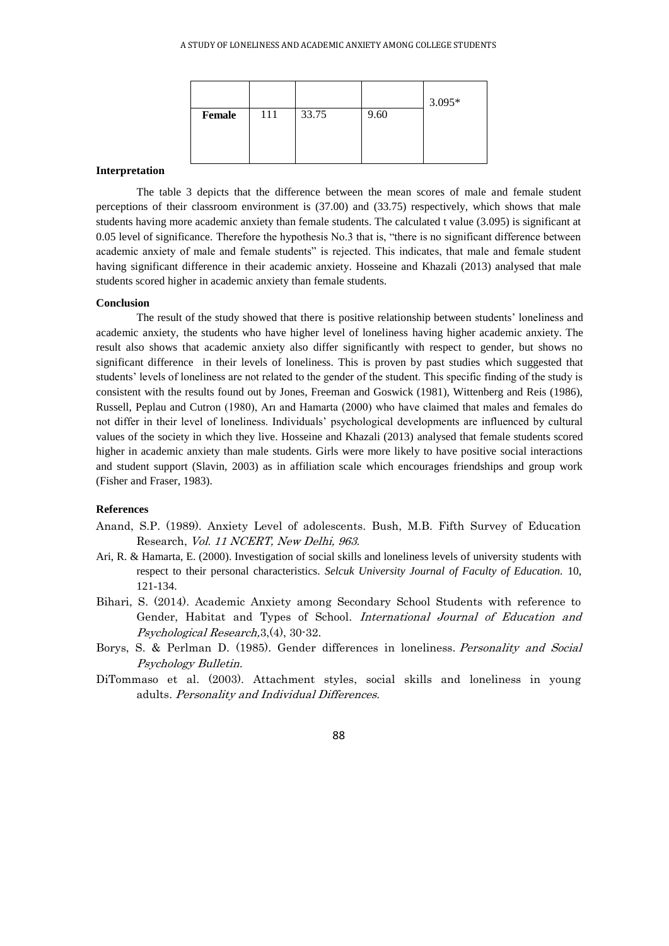|               |     |       |      | $3.095*$ |
|---------------|-----|-------|------|----------|
| <b>Female</b> | 111 | 33.75 | 9.60 |          |
|               |     |       |      |          |
|               |     |       |      |          |

#### **Interpretation**

The table 3 depicts that the difference between the mean scores of male and female student perceptions of their classroom environment is (37.00) and (33.75) respectively, which shows that male students having more academic anxiety than female students. The calculated t value (3.095) is significant at 0.05 level of significance. Therefore the hypothesis No.3 that is, "there is no significant difference between academic anxiety of male and female students" is rejected. This indicates, that male and female student having significant difference in their academic anxiety. Hosseine and Khazali (2013) analysed that male students scored higher in academic anxiety than female students.

### **Conclusion**

The result of the study showed that there is positive relationship between students' loneliness and academic anxiety, the students who have higher level of loneliness having higher academic anxiety. The result also shows that academic anxiety also differ significantly with respect to gender, but shows no significant difference in their levels of loneliness. This is proven by past studies which suggested that students' levels of loneliness are not related to the gender of the student. This specific finding of the study is consistent with the results found out by Jones, Freeman and Goswick (1981), Wittenberg and Reis (1986), Russell, Peplau and Cutron (1980), Arı and Hamarta (2000) who have claimed that males and females do not differ in their level of loneliness. Individuals' psychological developments are influenced by cultural values of the society in which they live. Hosseine and Khazali (2013) analysed that female students scored higher in academic anxiety than male students. Girls were more likely to have positive social interactions and student support (Slavin, 2003) as in affiliation scale which encourages friendships and group work (Fisher and Fraser, 1983).

### **References**

- Anand, S.P. (1989). Anxiety Level of adolescents. Bush, M.B. Fifth Survey of Education Research, Vol. 11 NCERT, New Delhi, 963.
- Ari, R. & Hamarta, E. (2000). Investigation of social skills and loneliness levels of university students with respect to their personal characteristics. *Selcuk University Journal of Faculty of Education.* 10, 121-134.
- Bihari, S. (2014). Academic Anxiety among Secondary School Students with reference to Gender, Habitat and Types of School. International Journal of Education and Psychological Research,3,(4), 30-32.
- Borys, S. & Perlman D. (1985). Gender differences in loneliness. Personality and Social Psychology Bulletin.
- DiTommaso et al. (2003). Attachment styles, social skills and loneliness in young adults. Personality and Individual Differences.